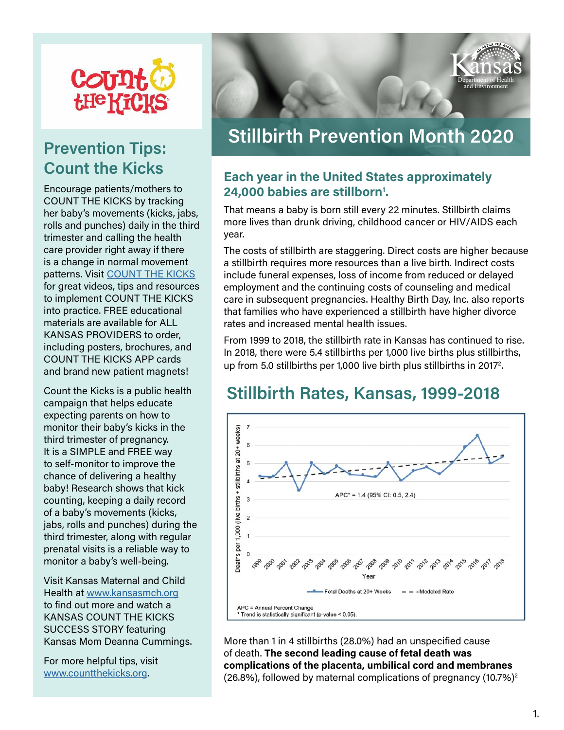

### Prevention Tips: Count the Kicks

Encourage patients/mothers to COUNT THE KICKS by tracking her baby's movements (kicks, jabs, rolls and punches) daily in the third trimester and calling the health care provider right away if there is a change in normal movement patterns. Visit [COUNT THE KICKS](https://www.countthekicks.org/
) for great videos, tips and resources to implement COUNT THE KICKS into practice. FREE educational materials are available for ALL KANSAS PROVIDERS to order, including posters, brochures, and COUNT THE KICKS APP cards and brand new patient magnets!

Count the Kicks is a public health campaign that helps educate expecting parents on how to monitor their baby's kicks in the third trimester of pregnancy. It is a SIMPLE and FREE way to self-monitor to improve the chance of delivering a healthy baby! Research shows that kick counting, keeping a daily record of a baby's movements (kicks, jabs, rolls and punches) during the third trimester, along with regular prenatal visits is a reliable way to monitor a baby's well-being.

Visit Kansas Maternal and Child Health at [www.kansasmch.org](http://www.kansasmch.org/countthekicks.asp) to find out more and watch a KANSAS COUNT THE KICKS SUCCESS STORY featuring Kansas Mom Deanna Cummings.

For more helpful tips, visit [www.countthekicks.org.](https://www.countthekicks.org/
)



# Stillbirth Prevention Month 2020

#### Each year in the United States approximately 24,000 babies are stillborn<sup>1</sup>.

That means a baby is born still every 22 minutes. Stillbirth claims more lives than drunk driving, childhood cancer or HIV/AIDS each year.

The costs of stillbirth are staggering. Direct costs are higher because a stillbirth requires more resources than a live birth. Indirect costs include funeral expenses, loss of income from reduced or delayed employment and the continuing costs of counseling and medical care in subsequent pregnancies. Healthy Birth Day, Inc. also reports that families who have experienced a stillbirth have higher divorce rates and increased mental health issues.

From 1999 to 2018, the stillbirth rate in Kansas has continued to rise. In 2018, there were 5.4 stillbirths per 1,000 live births plus stillbirths, up from 5.0 stillbirths per 1,000 live birth plus stillbirths in 2017<sup>2</sup>. .

### Stillbirth Rates, Kansas, 1999-2018



More than 1 in 4 stillbirths (28.0%) had an unspecified cause of death. The second leading cause of fetal death was complications of the placenta, umbilical cord and membranes (26.8%), followed by maternal complications of pregnancy (10.7%)2